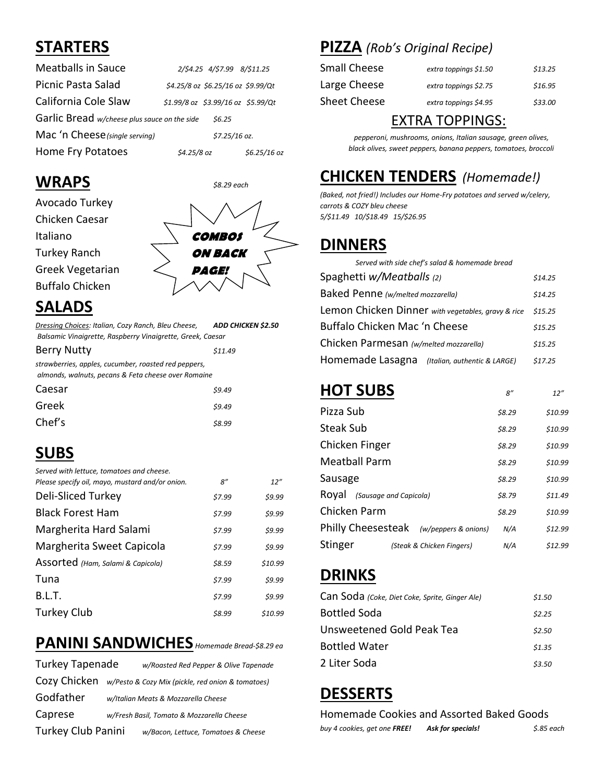## **STARTERS**

| <b>Meatballs in Sauce</b>                    | 2/\$4.25 4/\$7.99 8/\$11.25        |              |
|----------------------------------------------|------------------------------------|--------------|
| Picnic Pasta Salad                           | \$4.25/8 oz \$6.25/16 oz \$9.99/Qt |              |
| California Cole Slaw                         | \$1.99/8 oz \$3.99/16 oz \$5.99/Qt |              |
| Garlic Bread w/cheese plus sauce on the side | \$6.25                             |              |
| Mac 'n Cheese (single serving)               | \$7.25/16 oz.                      |              |
| Home Fry Potatoes                            | \$4.25/8 oz                        | \$6.25/16 oz |

### **WRAPS** *\$8.29 each*





### **SALADS**

| Dressing Choices: Italian, Cozy Ranch, Bleu Cheese,        | <b>ADD CHICKEN \$2.50</b> |
|------------------------------------------------------------|---------------------------|
| Balsamic Vinaigrette, Raspberry Vinaigrette, Greek, Caesar |                           |

| Berry Nutty                                          | \$11.49 |  |
|------------------------------------------------------|---------|--|
| strawberries, apples, cucumber, roasted red peppers, |         |  |
| almonds walnuts necans & Eeta cheese over Romaine    |         |  |

| allitudius, walliats, peculis & Feta cheese over Romanne |        |  |  |
|----------------------------------------------------------|--------|--|--|
| Caesar                                                   | 59.49  |  |  |
| Greek                                                    | 59.49  |  |  |
| Chef's                                                   | \$8.99 |  |  |

## **SUBS**

*Served with lettuce, tomatoes and cheese.* 

| Please specify oil, mayo, mustard and/or onion. | 8''    | 12''    |
|-------------------------------------------------|--------|---------|
| Deli-Sliced Turkey                              | \$7.99 | \$9.99  |
| <b>Black Forest Ham</b>                         | \$7.99 | \$9.99  |
| Margherita Hard Salami                          | \$7.99 | \$9.99  |
| Margherita Sweet Capicola                       | \$7.99 | \$9.99  |
| Assorted (Ham, Salami & Capicola)               | \$8.59 | \$10.99 |
| Tuna                                            | \$7.99 | \$9.99  |
| <b>B.L.T.</b>                                   | \$7.99 | \$9.99  |
| <b>Turkey Club</b>                              | \$8.99 | \$10.99 |
|                                                 |        |         |

#### **PANINI SANDWICHES** *Homemade Bread-\$8.29 ea*

| <b>Turkey Tapenade</b>    |                                     | w/Roasted Red Pepper & Olive Tapenade                          |
|---------------------------|-------------------------------------|----------------------------------------------------------------|
|                           |                                     | COZY Chicken w/Pesto & Cozy Mix (pickle, red onion & tomatoes) |
| Godfather                 | w/Italian Meats & Mozzarella Cheese |                                                                |
| Caprese                   |                                     | w/Fresh Basil, Tomato & Mozzarella Cheese                      |
| <b>Turkey Club Panini</b> |                                     | w/Bacon, Lettuce, Tomatoes & Cheese                            |

#### **PIZZA** *(Rob's Original Recipe)*

| \$13.25 |
|---------|
| \$16.95 |
| \$33.00 |
|         |

#### EXTRA TOPPINGS:

 *pepperoni, mushrooms, onions, Italian sausage, green olives, black olives, sweet peppers, banana peppers, tomatoes, broccoli*

### **CHICKEN TENDERS** *(Homemade!)*

*(Baked, not fried!) Includes our Home-Fry potatoes and served w/celery, carrots & COZY bleu cheese 5/\$11.49 10/\$18.49 15/\$26.95* 

#### **DINNERS**

| Served with side chef's salad & homemade bread     |         |
|----------------------------------------------------|---------|
| Spaghetti w/Meatballs (2)                          |         |
| Baked Penne (w/melted mozzarella)                  |         |
| Lemon Chicken Dinner with vegetables, gravy & rice |         |
| Buffalo Chicken Mac 'n Cheese                      |         |
| Chicken Parmesan (w/melted mozzarella)             | \$15.25 |
| Homemade Lasagna<br>(Italian, authentic & LARGE)   | \$17.25 |

| <b>HOT SUBS</b>                 | 8''                       | 12''    |         |
|---------------------------------|---------------------------|---------|---------|
| Pizza Sub                       | \$8.29                    | \$10.99 |         |
| <b>Steak Sub</b>                |                           | \$8.29  | \$10.99 |
| Chicken Finger                  | \$8.29                    | \$10.99 |         |
| <b>Meatball Parm</b>            | \$8.29                    | \$10.99 |         |
| Sausage                         | \$8.29                    | \$10.99 |         |
| Roval<br>(Sausage and Capicola) | \$8.79                    | \$11.49 |         |
| Chicken Parm                    | \$8.29                    | \$10.99 |         |
| <b>Philly Cheesesteak</b>       | (w/peppers & onions)      | N/A     | \$12.99 |
| Stinger                         | (Steak & Chicken Fingers) | N/A     | \$12.99 |

#### **DRINKS**

| Can Soda (Coke, Diet Coke, Sprite, Ginger Ale) | \$1.50 |
|------------------------------------------------|--------|
| Bottled Soda                                   | \$2.25 |
| Unsweetened Gold Peak Tea                      | \$2.50 |
| <b>Bottled Water</b>                           | 51.35  |
| 2 Liter Soda                                   | \$3.50 |

#### **DESSERTS**

Homemade Cookies and Assorted Baked Goods *buy 4 cookies, get one FREE! Ask for specials! \$.85 each*